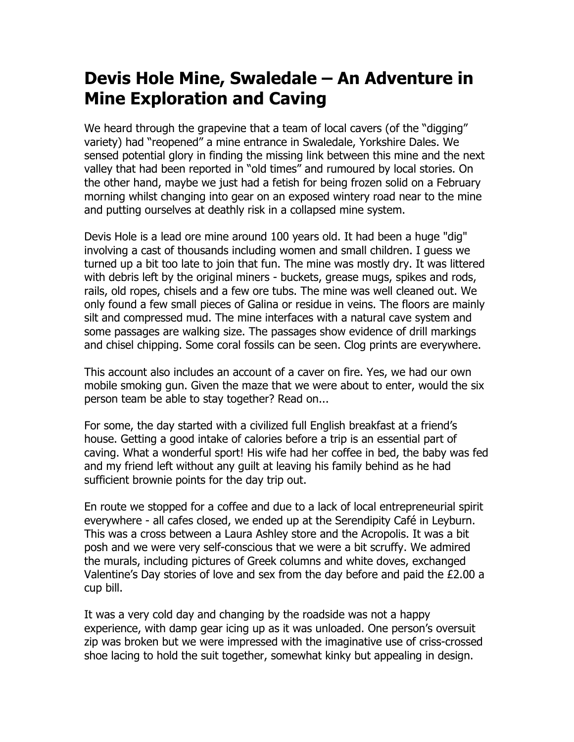## **Devis Hole Mine, Swaledale – An Adventure in Mine Exploration and Caving**

We heard through the grapevine that a team of local cavers (of the "digging" variety) had "reopened" a mine entrance in Swaledale, Yorkshire Dales. We sensed potential glory in finding the missing link between this mine and the next valley that had been reported in "old times" and rumoured by local stories. On the other hand, maybe we just had a fetish for being frozen solid on a February morning whilst changing into gear on an exposed wintery road near to the mine and putting ourselves at deathly risk in a collapsed mine system.

Devis Hole is a lead ore mine around 100 years old. It had been a huge "dig" involving a cast of thousands including women and small children. I guess we turned up a bit too late to join that fun. The mine was mostly dry. It was littered with debris left by the original miners - buckets, grease mugs, spikes and rods, rails, old ropes, chisels and a few ore tubs. The mine was well cleaned out. We only found a few small pieces of Galina or residue in veins. The floors are mainly silt and compressed mud. The mine interfaces with a natural cave system and some passages are walking size. The passages show evidence of drill markings and chisel chipping. Some coral fossils can be seen. Clog prints are everywhere.

This account also includes an account of a caver on fire. Yes, we had our own mobile smoking gun. Given the maze that we were about to enter, would the six person team be able to stay together? Read on...

For some, the day started with a civilized full English breakfast at a friend's house. Getting a good intake of calories before a trip is an essential part of caving. What a wonderful sport! His wife had her coffee in bed, the baby was fed and my friend left without any guilt at leaving his family behind as he had sufficient brownie points for the day trip out.

En route we stopped for a coffee and due to a lack of local entrepreneurial spirit everywhere - all cafes closed, we ended up at the Serendipity Café in Leyburn. This was a cross between a Laura Ashley store and the Acropolis. It was a bit posh and we were very self-conscious that we were a bit scruffy. We admired the murals, including pictures of Greek columns and white doves, exchanged Valentine's Day stories of love and sex from the day before and paid the £2.00 a cup bill.

It was a very cold day and changing by the roadside was not a happy experience, with damp gear icing up as it was unloaded. One person's oversuit zip was broken but we were impressed with the imaginative use of criss-crossed shoe lacing to hold the suit together, somewhat kinky but appealing in design.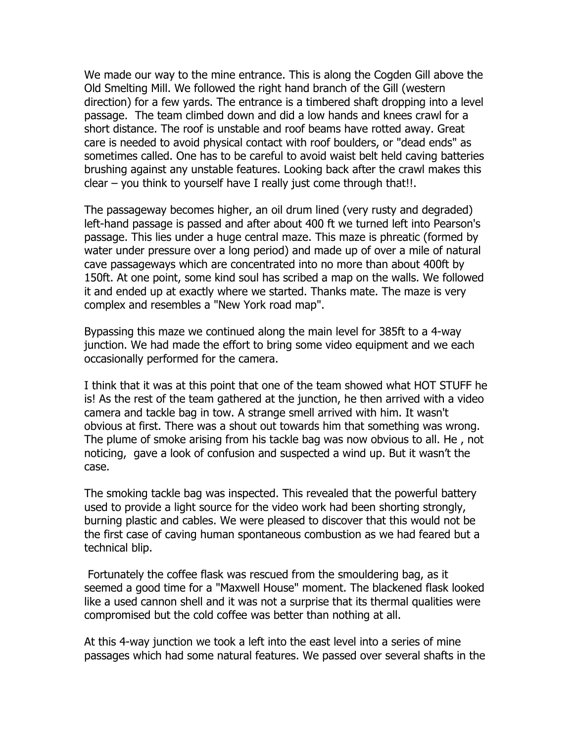We made our way to the mine entrance. This is along the Cogden Gill above the Old Smelting Mill. We followed the right hand branch of the Gill (western direction) for a few yards. The entrance is a timbered shaft dropping into a level passage. The team climbed down and did a low hands and knees crawl for a short distance. The roof is unstable and roof beams have rotted away. Great care is needed to avoid physical contact with roof boulders, or "dead ends" as sometimes called. One has to be careful to avoid waist belt held caving batteries brushing against any unstable features. Looking back after the crawl makes this clear – you think to yourself have I really just come through that!!.

The passageway becomes higher, an oil drum lined (very rusty and degraded) left-hand passage is passed and after about 400 ft we turned left into Pearson's passage. This lies under a huge central maze. This maze is phreatic (formed by water under pressure over a long period) and made up of over a mile of natural cave passageways which are concentrated into no more than about 400ft by 150ft. At one point, some kind soul has scribed a map on the walls. We followed it and ended up at exactly where we started. Thanks mate. The maze is very complex and resembles a "New York road map".

Bypassing this maze we continued along the main level for 385ft to a 4-way junction. We had made the effort to bring some video equipment and we each occasionally performed for the camera.

I think that it was at this point that one of the team showed what HOT STUFF he is! As the rest of the team gathered at the junction, he then arrived with a video camera and tackle bag in tow. A strange smell arrived with him. It wasn't obvious at first. There was a shout out towards him that something was wrong. The plume of smoke arising from his tackle bag was now obvious to all. He , not noticing, gave a look of confusion and suspected a wind up. But it wasn't the case.

The smoking tackle bag was inspected. This revealed that the powerful battery used to provide a light source for the video work had been shorting strongly, burning plastic and cables. We were pleased to discover that this would not be the first case of caving human spontaneous combustion as we had feared but a technical blip.

Fortunately the coffee flask was rescued from the smouldering bag, as it seemed a good time for a "Maxwell House" moment. The blackened flask looked like a used cannon shell and it was not a surprise that its thermal qualities were compromised but the cold coffee was better than nothing at all.

At this 4-way junction we took a left into the east level into a series of mine passages which had some natural features. We passed over several shafts in the